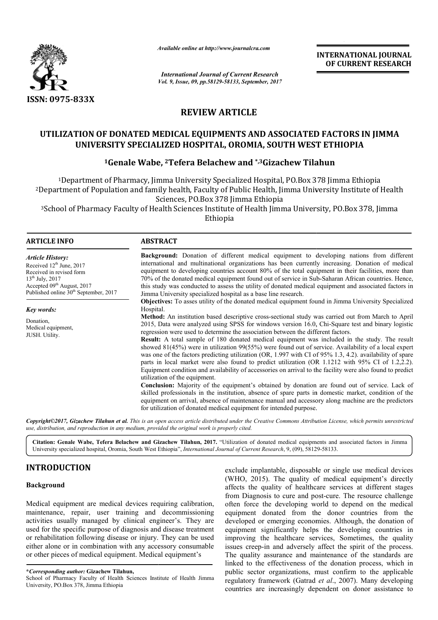

*Available online at http://www.journal http://www.journalcra.com*

*Vol. 9, Issue, 09, pp.58129-58133, September, 2017 International Journal of Current Research*

**INTERNATIONAL JOURNAL OF CURRENT RESEARCH** 

# **REVIEW ARTICLE**

## **UTILIZATION OF DONATED MEDICAL EQUIPMENTS AND ASSOCIATED FACTORS IN JIMMA UNIVERSITY SPECIALIZED HOSPITAL, OROMIA, SOUTH WEST ETHIOPIA**

# **1Genale Wabe, 2Tefera Belachew and \*,3Gizachew Tilahun HOSPITAL, OROMIA, SOUTH WEST Gizachew**

1Department of Pharmacy, Jimma University Specialized Hospital, PO.Box 378 Jimma Ethiopia <sup>1</sup>Department of Pharmacy, Jimma University Specialized Hospital, PO.Box 378 Jimma Ethiopia<br><sup>2</sup>Department of Population and family health, Faculty of Public Health, Jimma University Institute of Health Sciences, PO.Box 378 Jimma Ethiopia

 $3$ School of Pharmacy Faculty of Health Sciences Institute of Health Jimma University, PO.Box 378, Jimma<br>Ethiopia

| <b>ARTICLE INFO</b>                                                                                                                                                                                      | <b>ABSTRACT</b>                                                                                                                                                                                                                                                                                                                                                                                                                                                                                                                                                                                                                                                                                                                                                                                                                                                                                                                                                                                                                                                                                    |  |  |  |
|----------------------------------------------------------------------------------------------------------------------------------------------------------------------------------------------------------|----------------------------------------------------------------------------------------------------------------------------------------------------------------------------------------------------------------------------------------------------------------------------------------------------------------------------------------------------------------------------------------------------------------------------------------------------------------------------------------------------------------------------------------------------------------------------------------------------------------------------------------------------------------------------------------------------------------------------------------------------------------------------------------------------------------------------------------------------------------------------------------------------------------------------------------------------------------------------------------------------------------------------------------------------------------------------------------------------|--|--|--|
| <b>Article History:</b><br>Received $12th$ June, 2017<br>Received in revised form<br>$13^{th}$ July, 2017<br>Accepted 09 <sup>th</sup> August, 2017<br>Published online 30 <sup>th</sup> September, 2017 | <b>Background:</b> Donation of different medical equipment to developing nations from different<br>international and multinational organizations has been currently increasing. Donation of medical<br>equipment to developing countries account 80% of the total equipment in their facilities, more than<br>70% of the donated medical equipment found out of service in Sub-Saharan African countries. Hence,<br>this study was conducted to assess the utility of donated medical equipment and associated factors in<br>Jimma University specialized hospital as a base line research.                                                                                                                                                                                                                                                                                                                                                                                                                                                                                                        |  |  |  |
|                                                                                                                                                                                                          | <b>Objectives:</b> To asses utility of the donated medical equipment found in Jimma University Specialized<br>Hospital.                                                                                                                                                                                                                                                                                                                                                                                                                                                                                                                                                                                                                                                                                                                                                                                                                                                                                                                                                                            |  |  |  |
| Key words:<br>Donation,<br>Medical equipment,<br>JUSH. Utility.                                                                                                                                          | <b>Method:</b> An institution based descriptive cross-sectional study was carried out from March to April<br>2015. Data were analyzed using SPSS for windows version 16.0, Chi-Square test and binary logistic<br>regression were used to determine the association between the different factors.<br><b>Result:</b> A total sample of 180 donated medical equipment was included in the study. The result<br>showed 81(45%) were in utilization 99(55%) were found out of service. Availability of a local expert<br>was one of the factors predicting utilization (OR, 1.997 with CI of 95% 1.3, 4.2). availability of spare<br>parts in local market were also found to predict utilization (OR 1.1212 with 95% CI of 1.2,2.2).<br>Equipment condition and availability of accessories on arrival to the facility were also found to predict<br>utilization of the equipment.<br><b>Conclusion:</b> Majority of the equipment's obtained by donation are found out of service. Lack of<br>skilled professionals in the institution, absence of spare parts in domestic market, condition of the |  |  |  |
|                                                                                                                                                                                                          | equipment on arrival, absence of maintenance manual and accessory along machine are the predictors<br>for utilization of donated medical equipment for intended purpose.                                                                                                                                                                                                                                                                                                                                                                                                                                                                                                                                                                                                                                                                                                                                                                                                                                                                                                                           |  |  |  |

*Copyright©2017, Gizachew Tilahun et al. This is an open access article distributed under the Creative Commons Att Attribution License, which ribution permits unrestricted use, distribution, and reproduction in any medium, provided the original work is properly cited.*

Citation: Genale Wabe, Tefera Belachew and Gizachew Tilahun, 2017. "Utilization of donated medical equipments and associated factors in Jimma University specialized hospital, Oromia, South West Ethiopia", *International Journal of Current Research*, 9, (09), 58129-58133.

# **INTRODUCTION**

#### **Background**

Medical equipment are medical devices requiring calibration, maintenance, repair, user training and decommissioning activities usually managed by clinical engineer's. They are used for the specific purpose of diagnosis and disease treatment or rehabilitation following disease or injury. They can be used either alone or in combination with any accessory consumable or other pieces of medical equipment. Medical equipment's

**ETION**<br>
exclude implantable, disposable or single use medical devices<br>
(WHO, 2015). The quality of medical equipment's directly<br>
affects the quality of healthcare services at different stages<br>
from Diagnosis to cure and p exclude implantable, disposable or single use medical devices (WHO, 2015). The quality of medical equipment's directly affects the quality of healthcare services at different stages affects the quality of healthcare services at different stages from Diagnosis to cure and post-cure. The resource challenge often force the developing world to depend on the medical equipment donated from the donor countries from the developed or emerging economies. Although, the donation of equipment significantly helps the developing countries in improving the healthcare services, Sometimes, the quality issues creep-in and adversely affect the spirit of the process. The quality assurance and maintenance of the standards are linked to the effectiveness of the donation process, which in linked to the effectiveness of the donation process, which in public sector organizations, must confirm to the applicable regulatory framework (Gatrad *et al*., 2007). Many developing countries are increasingly dependent on donor assistance to force the developing world to depend on the medical<br>nent donated from the donor countries from the<br>pped or emerging economies. Although, the donation of<br>nent significantly helps the developing countries in<br>ving the healthc

**<sup>\*</sup>***Corresponding author:* **Gizachew Tilahun,**

School of Pharmacy Faculty of Health Sciences Institute of Health Jimma University, PO.Box 378, Jimma Ethiopia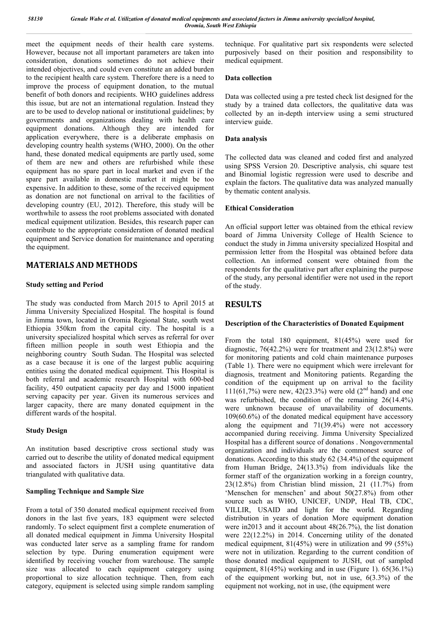meet the equipment needs of their health care systems. However, because not all important parameters are taken into consideration, donations sometimes do not achieve their intended objectives, and could even constitute an added burden to the recipient health care system. Therefore there is a need to improve the process of equipment donation, to the mutual benefit of both donors and recipients. WHO guidelines address this issue, but are not an international regulation. Instead they are to be used to develop national or institutional guidelines; by governments and organizations dealing with health care equipment donations. Although they are intended for application everywhere, there is a deliberate emphasis on developing country health systems (WHO, 2000). On the other hand, these donated medical equipments are partly used, some of them are new and others are refurbished while these equipment has no spare part in local market and even if the spare part available in domestic market it might be too expensive. In addition to these, some of the received equipment as donation are not functional on arrival to the facilities of developing country (EU, 2012). Therefore, this study will be worthwhile to assess the root problems associated with donated medical equipment utilization. Besides, this research paper can contribute to the appropriate consideration of donated medical equipment and Service donation for maintenance and operating the equipment.

# **MATERIALS AND METHODS**

### **Study setting and Period**

The study was conducted from March 2015 to April 2015 at Jimma University Specialized Hospital. The hospital is found in Jimma town, located in Oromia Regional State, south west Ethiopia 350km from the capital city. The hospital is a university specialized hospital which serves as referral for over fifteen million people in south west Ethiopia and the neighboring country South Sudan. The Hospital was selected as a case because it is one of the largest public acquiring entities using the donated medical equipment. This Hospital is both referral and academic research Hospital with 600-bed facility, 450 outpatient capacity per day and 15000 inpatient serving capacity per year. Given its numerous services and larger capacity, there are many donated equipment in the different wards of the hospital.

#### **Study Design**

An institution based descriptive cross sectional study was carried out to describe the utility of donated medical equipment and associated factors in JUSH using quantitative data triangulated with qualitative data.

#### **Sampling Technique and Sample Size**

From a total of 350 donated medical equipment received from donors in the last five years, 183 equipment were selected randomly. To select equipment first a complete enumeration of all donated medical equipment in Jimma University Hospital was conducted later serve as a sampling frame for random selection by type. During enumeration equipment were identified by receiving voucher from warehouse. The sample size was allocated to each equipment category using proportional to size allocation technique. Then, from each category, equipment is selected using simple random sampling technique. For qualitative part six respondents were selected purposively based on their position and responsibility to medical equipment.

#### **Data collection**

Data was collected using a pre tested check list designed for the study by a trained data collectors, the qualitative data was collected by an in-depth interview using a semi structured interview guide.

#### **Data analysis**

The collected data was cleaned and coded first and analyzed using SPSS Version 20. Descriptive analysis, chi square test and Binomial logistic regression were used to describe and explain the factors. The qualitative data was analyzed manually by thematic content analysis.

### **Ethical Consideration**

An official support letter was obtained from the ethical review board of Jimma University College of Health Science to conduct the study in Jimma university specialized Hospital and permission letter from the Hospital was obtained before data collection. An informed consent were obtained from the respondents for the qualitative part after explaining the purpose of the study, any personal identifier were not used in the report of the study.

# **RESULTS**

## **Description of the Characteristics of Donated Equipment**

From the total 180 equipment, 81(45%) were used for diagnostic, 76(42.2%) were for treatment and 23(12.8%) were for monitoring patients and cold chain maintenance purposes (Table 1). There were no equipment which were irrelevant for diagnosis, treatment and Monitoring patients. Regarding the condition of the equipment up on arrival to the facility 111(61,7%) were new,  $42(23.3\%)$  were old (2<sup>nd</sup> hand) and one was refurbished, the condition of the remaining 26(14.4%) were unknown because of unavailability of documents. 109(60.6%) of the donated medical equipment have accessory along the equipment and 71(39.4%) were not accessory accompanied during receiving. Jimma University Specialized Hospital has a different source of donations . Nongovernmental organization and individuals are the commonest source of donations. According to this study 62 (34.4%) of the equipment from Human Bridge, 24(13.3%) from individuals like the former staff of the organization working in a foreign country, 23(12.8%) from Christian blind mission, 21 (11.7%) from 'Menschen for menschen' and about 50(27.8%) from other source such as WHO, UNICEF, UNDP, Heal TB, CDC, VILLIR, USAID and light for the world. Regarding distribution in years of donation More equipment donation were in2013 and it account about 48(26.7%), the list donation were 22(12.2%) in 2014. Concerning utility of the donated medical equipment, 81(45%) were in utilization and 99 (55%) were not in utilization. Regarding to the current condition of those donated medical equipment to JUSH, out of sampled equipment, 81(45%) working and in use (Figure 1). 65(36.1%) of the equipment working but, not in use, 6(3.3%) of the equipment not working, not in use, (the equipment were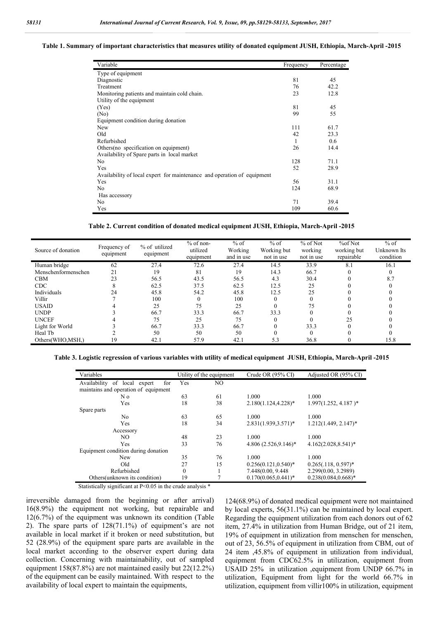| Variable                                                                | Frequency | Percentage |
|-------------------------------------------------------------------------|-----------|------------|
| Type of equipment                                                       |           |            |
| Diagnostic                                                              | 81        | 45         |
| Treatment                                                               | 76        | 42.2       |
| Monitoring patients and maintain cold chain.                            | 23        | 12.8       |
| Utility of the equipment                                                |           |            |
| (Yes)                                                                   | 81        | 45         |
| (No)                                                                    | 99        | 55         |
| Equipment condition during donation                                     |           |            |
| New                                                                     | 111       | 61.7       |
| Old                                                                     | 42        | 23.3       |
| Refurbished                                                             | 1         | 0.6        |
| Others (no specification on equipment)                                  | 26        | 14.4       |
| Availability of Spare parts in local market                             |           |            |
| No                                                                      | 128       | 71.1       |
| Yes                                                                     | 52        | 28.9       |
| Availability of local expert for maintenance and operation of equipment |           |            |
| Yes                                                                     | 56        | 31.1       |
| No                                                                      | 124       | 68.9       |
| Has accessory                                                           |           |            |
| No                                                                      | 71        | 39.4       |
| Yes                                                                     | 109       | 60.6       |

#### **Table 1. Summary of important characteristics that measures utility of donated equipment JUSH, Ethiopia, March-April -2015**

**Table 2. Current condition of donated medical equipment JUSH, Ethiopia, March-April -2015**

| Source of donation  | Frequency of<br>equipment | % of utilized<br>equipment | $%$ of non-<br>utilized<br>equipment | $%$ of<br>Working<br>and in use | $%$ of<br>Working but<br>not in use | $%$ of Not<br>working<br>not in use | % of Not<br>working but<br>repairable | $%$ of<br>Unknown Its<br>condition |
|---------------------|---------------------------|----------------------------|--------------------------------------|---------------------------------|-------------------------------------|-------------------------------------|---------------------------------------|------------------------------------|
| Human bridge        | 62                        | 27.4                       | 72.6                                 | 27.4                            | 14.5                                | 33.9                                | 8.1                                   | 16.1                               |
| Menschenformenschen | 21                        | 19                         | 81                                   | 19                              | 14.3                                | 66.7                                | $\Omega$                              |                                    |
| <b>CBM</b>          | 23                        | 56.5                       | 43.5                                 | 56.5                            | 4.3                                 | 30.4                                |                                       | 8.7                                |
| <b>CDC</b>          | 8                         | 62.5                       | 37.5                                 | 62.5                            | 12.5                                | 25                                  |                                       |                                    |
| Individuals         | 24                        | 45.8                       | 54.2                                 | 45.8                            | 12.5                                | 25                                  |                                       |                                    |
| Villir              |                           | 100                        |                                      | 100                             | $\theta$                            |                                     |                                       |                                    |
| <b>USAID</b>        |                           | 25                         | 75                                   | 25                              |                                     | 75                                  |                                       |                                    |
| <b>UNDP</b>         |                           | 66.7                       | 33.3                                 | 66.7                            | 33.3                                |                                     |                                       |                                    |
| <b>UNCEF</b>        |                           | 75                         | 25                                   | 75                              | $\theta$                            |                                     | 25                                    |                                    |
| Light for World     |                           | 66.7                       | 33.3                                 | 66.7                            |                                     | 33.3                                |                                       |                                    |
| Heal Tb             |                           | 50                         | 50                                   | 50                              |                                     |                                     |                                       |                                    |
| Others(WHO,MSH,)    | 19                        | 42.1                       | 57.9                                 | 42.1                            | 5.3                                 | 36.8                                |                                       | 15.8                               |

**Table 3. Logistic regression of various variables with utility of medical equipment JUSH, Ethiopia, March-April -2015**

| Variables                            | Utility of the equipment |                | Crude OR $(95\% \text{ CI})$ | Adjusted OR (95% CI)    |
|--------------------------------------|--------------------------|----------------|------------------------------|-------------------------|
| Availability of local expert<br>for  | Yes                      | N <sub>O</sub> |                              |                         |
| maintains and operation of equipment |                          |                |                              |                         |
| N <sub>0</sub>                       | 63                       | 61             | 1.000                        | 1.000                   |
| <b>Yes</b>                           | 18                       | 38             | $2.180(1.124, 4.228)*$       | $1.997(1.252, 4.187)^*$ |
| Spare parts                          |                          |                |                              |                         |
| No                                   | 63                       | 65             | 1.000                        | 1.000                   |
| <b>Yes</b>                           | 18                       | 34             | $2.831(1.939, 3.571)^*$      | $1.212(1.449, 2.147)^*$ |
| Accessory                            |                          |                |                              |                         |
| NO.                                  | 48                       | 23             | 1.000                        | 1.000                   |
| <b>Yes</b>                           | 33                       | 76             | $4.806(2.526.9.146)^*$       | $4.162(2.028, 8.541)^*$ |
| Equipment condition during donation  |                          |                |                              |                         |
| <b>New</b>                           | 35                       | 76             | 1.000                        | 1.000                   |
| Old                                  | 27                       | 15             | $0.256(0.121, 0.540)^*$      | $0.265(.118, 0.597)^*$  |
| Refurbished                          | $\mathbf{0}$             |                | 7.448(0.00, 9.448)           | 2.299(0.00, 3.2989)     |
| Others (unknown its condition)       | 19                       |                | $0.170(0.065, 0.441)^*$      | $0.238(0.084, 0.668)*$  |

Statistically significant at P<0.05 in the crude analysis \*

irreversible damaged from the beginning or after arrival) 16(8.9%) the equipment not working, but repairable and 12(6.7%) of the equipment was unknown its condition (Table 2). The spare parts of 128(71.1%) of equipment's are not available in local market if it broken or need substitution, but 52 (28.9%) of the equipment spare parts are available in the local market according to the observer expert during data collection. Concerning with maintainability, out of sampled equipment 158(87.8%) are not maintained easily but 22(12.2%) of the equipment can be easily maintained. With respect to the availability of local expert to maintain the equipments,

124(68.9%) of donated medical equipment were not maintained by local experts, 56(31.1%) can be maintained by local expert. Regarding the equipment utilization from each donors out of 62 item, 27.4% in utilization from Human Bridge, out of 21 item, 19% of equipment in utilization from menschen for menschen, out of 23, 56.5% of equipment in utilization from CBM, out of 24 item ,45.8% of equipment in utilization from individual, equipment from CDC62.5% in utilization, equipment from USAID 25% in utilization ,equipment from UNDP 66.7% in utilization, Equipment from light for the world 66.7% in utilization, equipment from villir100% in utilization, equipment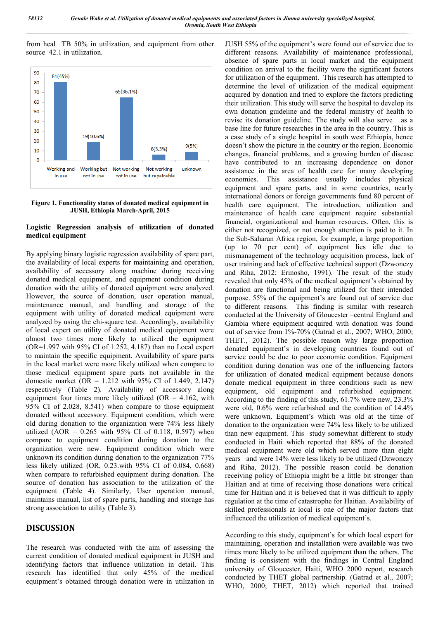from heal TB 50% in utilization, and equipment from other source 42.1 in utilization.



**Figure 1. Functionality status of donated medical equipment in JUSH, Ethiopia March-April, 2015**

#### **Logistic Regression analysis of utilization of donated medical equipment**

By applying binary logistic regression availability of spare part, the availability of local experts for maintaining and operation, availability of accessory along machine during receiving donated medical equipment, and equipment condition during donation with the utility of donated equipment were analyzed. However, the source of donation, user operation manual, maintenance manual, and handling and storage of the equipment with utility of donated medical equipment were analyzed by using the chi-square test. Accordingly, availability of local expert on utility of donated medical equipment were almost two times more likely to utilized the equipment (OR=1.997 with 95% CI of 1.252, 4.187) than no Local expert to maintain the specific equipment. Availability of spare parts in the local market were more likely utilized when compare to those medical equipment spare parts not available in the domestic market (OR = 1.212 with 95% CI of 1.449, 2.147) respectively (Table 2). Availability of accessory along equipment four times more likely utilized ( $OR = 4.162$ , with 95% CI of 2.028, 8.541) when compare to those equipment donated without accessory. Equipment condition, which were old during donation to the organization were 74% less likely utilized (AOR =  $0.265$  with 95% CI of 0.118, 0.597) when compare to equipment condition during donation to the organization were new. Equipment condition which were unknown its condition during donation to the organization 77% less likely utilized (OR, 0.23.with 95% CI of 0.084, 0.668) when compare to refurbished equipment during donation. The source of donation has association to the utilization of the equipment (Table 4). Similarly, User operation manual, maintains manual, list of spare parts, handling and storage has strong association to utility (Table 3).

## **DISCUSSION**

The research was conducted with the aim of assessing the current condition of donated medical equipment in JUSH and identifying factors that influence utilization in detail. This research has identified that only 45% of the medical equipment's obtained through donation were in utilization in

JUSH 55% of the equipment's were found out of service due to different reasons. Availability of maintenance professional, absence of spare parts in local market and the equipment condition on arrival to the facility were the significant factors for utilization of the equipment. This research has attempted to determine the level of utilization of the medical equipment acquired by donation and tried to explore the factors predicting their utilization. This study will serve the hospital to develop its own donation guideline and the federal ministry of health to revise its donation guideline. The study will also serve as a base line for future researches in the area in the country. This is a case study of a single hospital in south west Ethiopia, hence doesn't show the picture in the country or the region. Economic changes, financial problems, and a growing burden of disease have contributed to an increasing dependence on donor assistance in the area of health care for many developing economies. This assistance usually includes physical equipment and spare parts, and in some countries, nearly international donors or foreign governments fund 80 percent of health care equipment. The introduction, utilization and maintenance of health care equipment require substantial financial, organizational and human resources. Often, this is either not recognized, or not enough attention is paid to it. In the Sub-Saharan Africa region, for example, a large proportion (up to 70 per cent) of equipment lies idle due to mismanagement of the technology acquisition process, lack of user training and lack of effective technical support (Dzwonczy and Riha, 2012; Erinosho, 1991). The result of the study revealed that only 45% of the medical equipment's obtained by donation are functional and being utilized for their intended purpose. 55% of the equipment's are found out of service due to different reasons. This finding is similar with research conducted at the University of Gloucester –central England and Gambia where equipment acquired with donation was found out of service from 1%-70% (Gatrad et al., 2007; WHO, 2000; THET., 2012). The possible reason why large proportion donated equipment's in developing countries found out of service could be due to poor economic condition. Equipment condition during donation was one of the influencing factors for utilization of donated medical equipment because donors donate medical equipment in three conditions such as new equipment, old equipment and refurbished equipment. According to the finding of this study, 61.7% were new, 23.3% were old, 0.6% were refurbished and the condition of 14.4% were unknown. Equipment's which was old at the time of donation to the organization were 74% less likely to be utilized than new equipment. This study somewhat different to study conducted in Haiti which reported that 88% of the donated medical equipment were old which served more than eight years and were 14% were less likely to be utilized (Dzwonczy and Riha, 2012). The possible reason could be donation receiving policy of Ethiopia might be a little bit stronger than Haitian and at time of receiving those donations were critical time for Haitian and it is believed that it was difficult to apply regulation at the time of catastrophe for Haitian. Availability of skilled professionals at local is one of the major factors that influenced the utilization of medical equipment's.

According to this study, equipment's for which local expert for maintaining, operation and installation were available was two times more likely to be utilized equipment than the others. The finding is consistent with the findings in Central England university of Gloucester, Haiti, WHO 2000 report, research conducted by THET global partnership. (Gatrad et al., 2007; WHO, 2000; THET, 2012) which reported that trained